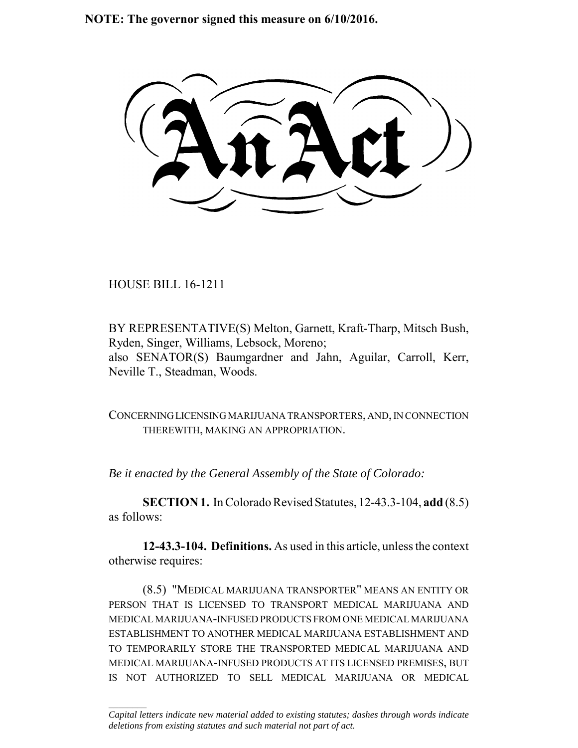**NOTE: The governor signed this measure on 6/10/2016.**

HOUSE BILL 16-1211

 $\frac{1}{2}$ 

BY REPRESENTATIVE(S) Melton, Garnett, Kraft-Tharp, Mitsch Bush, Ryden, Singer, Williams, Lebsock, Moreno; also SENATOR(S) Baumgardner and Jahn, Aguilar, Carroll, Kerr, Neville T., Steadman, Woods.

CONCERNING LICENSING MARIJUANA TRANSPORTERS, AND, IN CONNECTION THEREWITH, MAKING AN APPROPRIATION.

*Be it enacted by the General Assembly of the State of Colorado:*

**SECTION 1.** In Colorado Revised Statutes, 12-43.3-104, **add** (8.5) as follows:

**12-43.3-104. Definitions.** As used in this article, unless the context otherwise requires:

(8.5) "MEDICAL MARIJUANA TRANSPORTER" MEANS AN ENTITY OR PERSON THAT IS LICENSED TO TRANSPORT MEDICAL MARIJUANA AND MEDICAL MARIJUANA-INFUSED PRODUCTS FROM ONE MEDICAL MARIJUANA ESTABLISHMENT TO ANOTHER MEDICAL MARIJUANA ESTABLISHMENT AND TO TEMPORARILY STORE THE TRANSPORTED MEDICAL MARIJUANA AND MEDICAL MARIJUANA-INFUSED PRODUCTS AT ITS LICENSED PREMISES, BUT IS NOT AUTHORIZED TO SELL MEDICAL MARIJUANA OR MEDICAL

*Capital letters indicate new material added to existing statutes; dashes through words indicate deletions from existing statutes and such material not part of act.*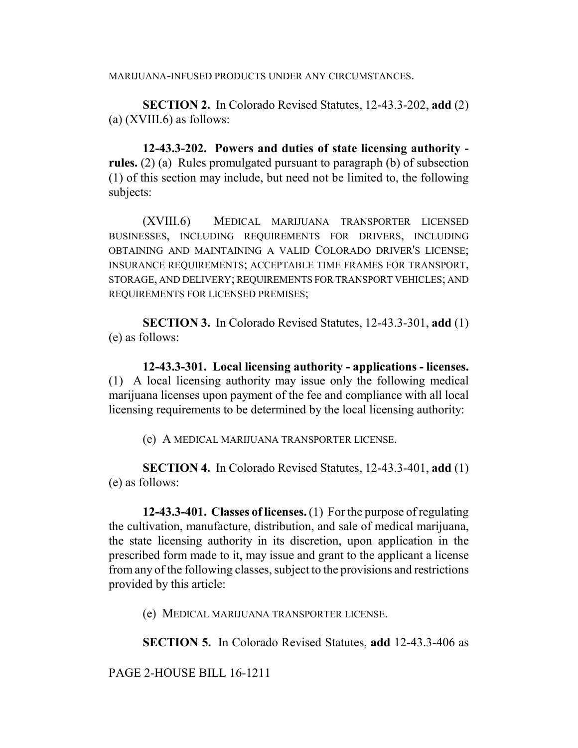MARIJUANA-INFUSED PRODUCTS UNDER ANY CIRCUMSTANCES.

**SECTION 2.** In Colorado Revised Statutes, 12-43.3-202, **add** (2)  $(a)$  (XVIII.6) as follows:

**12-43.3-202. Powers and duties of state licensing authority rules.** (2) (a) Rules promulgated pursuant to paragraph (b) of subsection (1) of this section may include, but need not be limited to, the following subjects:

(XVIII.6) MEDICAL MARIJUANA TRANSPORTER LICENSED BUSINESSES, INCLUDING REQUIREMENTS FOR DRIVERS, INCLUDING OBTAINING AND MAINTAINING A VALID COLORADO DRIVER'S LICENSE; INSURANCE REQUIREMENTS; ACCEPTABLE TIME FRAMES FOR TRANSPORT, STORAGE, AND DELIVERY; REQUIREMENTS FOR TRANSPORT VEHICLES; AND REQUIREMENTS FOR LICENSED PREMISES;

**SECTION 3.** In Colorado Revised Statutes, 12-43.3-301, **add** (1) (e) as follows:

**12-43.3-301. Local licensing authority - applications - licenses.** (1) A local licensing authority may issue only the following medical marijuana licenses upon payment of the fee and compliance with all local licensing requirements to be determined by the local licensing authority:

(e) A MEDICAL MARIJUANA TRANSPORTER LICENSE.

**SECTION 4.** In Colorado Revised Statutes, 12-43.3-401, **add** (1) (e) as follows:

**12-43.3-401. Classes of licenses.** (1) For the purpose of regulating the cultivation, manufacture, distribution, and sale of medical marijuana, the state licensing authority in its discretion, upon application in the prescribed form made to it, may issue and grant to the applicant a license from any of the following classes, subject to the provisions and restrictions provided by this article:

(e) MEDICAL MARIJUANA TRANSPORTER LICENSE.

**SECTION 5.** In Colorado Revised Statutes, **add** 12-43.3-406 as

PAGE 2-HOUSE BILL 16-1211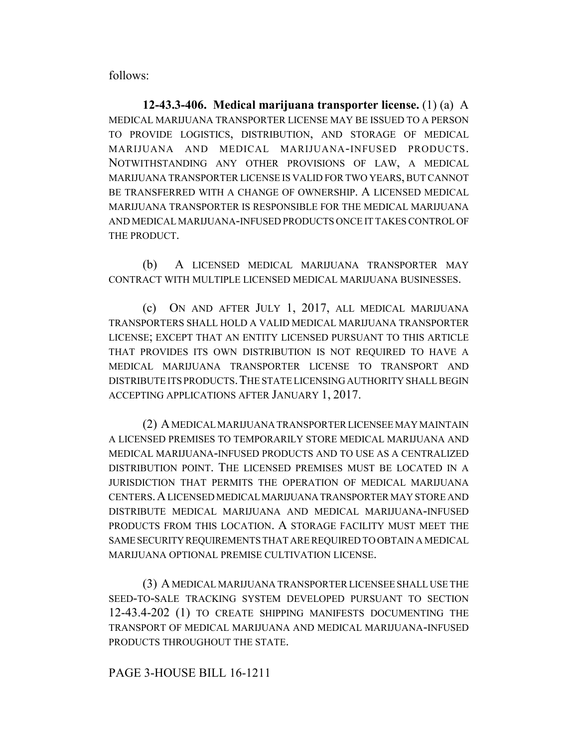follows:

**12-43.3-406. Medical marijuana transporter license.** (1) (a) A MEDICAL MARIJUANA TRANSPORTER LICENSE MAY BE ISSUED TO A PERSON TO PROVIDE LOGISTICS, DISTRIBUTION, AND STORAGE OF MEDICAL MARIJUANA AND MEDICAL MARIJUANA-INFUSED PRODUCTS. NOTWITHSTANDING ANY OTHER PROVISIONS OF LAW, A MEDICAL MARIJUANA TRANSPORTER LICENSE IS VALID FOR TWO YEARS, BUT CANNOT BE TRANSFERRED WITH A CHANGE OF OWNERSHIP. A LICENSED MEDICAL MARIJUANA TRANSPORTER IS RESPONSIBLE FOR THE MEDICAL MARIJUANA AND MEDICAL MARIJUANA-INFUSED PRODUCTS ONCE IT TAKES CONTROL OF THE PRODUCT.

(b) A LICENSED MEDICAL MARIJUANA TRANSPORTER MAY CONTRACT WITH MULTIPLE LICENSED MEDICAL MARIJUANA BUSINESSES.

(c) ON AND AFTER JULY 1, 2017, ALL MEDICAL MARIJUANA TRANSPORTERS SHALL HOLD A VALID MEDICAL MARIJUANA TRANSPORTER LICENSE; EXCEPT THAT AN ENTITY LICENSED PURSUANT TO THIS ARTICLE THAT PROVIDES ITS OWN DISTRIBUTION IS NOT REQUIRED TO HAVE A MEDICAL MARIJUANA TRANSPORTER LICENSE TO TRANSPORT AND DISTRIBUTE ITS PRODUCTS.THE STATE LICENSING AUTHORITY SHALL BEGIN ACCEPTING APPLICATIONS AFTER JANUARY 1, 2017.

(2) A MEDICAL MARIJUANA TRANSPORTER LICENSEE MAY MAINTAIN A LICENSED PREMISES TO TEMPORARILY STORE MEDICAL MARIJUANA AND MEDICAL MARIJUANA-INFUSED PRODUCTS AND TO USE AS A CENTRALIZED DISTRIBUTION POINT. THE LICENSED PREMISES MUST BE LOCATED IN A JURISDICTION THAT PERMITS THE OPERATION OF MEDICAL MARIJUANA CENTERS.A LICENSED MEDICAL MARIJUANA TRANSPORTER MAY STORE AND DISTRIBUTE MEDICAL MARIJUANA AND MEDICAL MARIJUANA-INFUSED PRODUCTS FROM THIS LOCATION. A STORAGE FACILITY MUST MEET THE SAME SECURITY REQUIREMENTS THAT ARE REQUIRED TO OBTAIN A MEDICAL MARIJUANA OPTIONAL PREMISE CULTIVATION LICENSE.

(3) A MEDICAL MARIJUANA TRANSPORTER LICENSEE SHALL USE THE SEED-TO-SALE TRACKING SYSTEM DEVELOPED PURSUANT TO SECTION 12-43.4-202 (1) TO CREATE SHIPPING MANIFESTS DOCUMENTING THE TRANSPORT OF MEDICAL MARIJUANA AND MEDICAL MARIJUANA-INFUSED PRODUCTS THROUGHOUT THE STATE.

## PAGE 3-HOUSE BILL 16-1211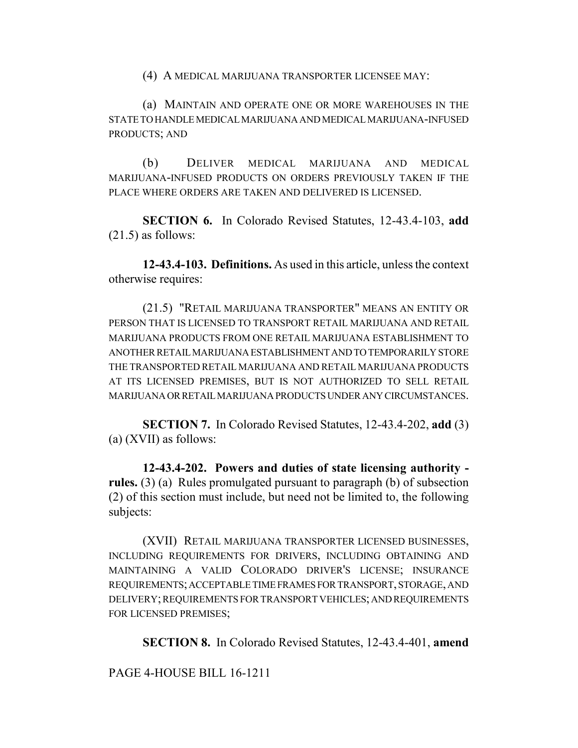(4) A MEDICAL MARIJUANA TRANSPORTER LICENSEE MAY:

(a) MAINTAIN AND OPERATE ONE OR MORE WAREHOUSES IN THE STATE TO HANDLE MEDICAL MARIJUANA AND MEDICAL MARIJUANA-INFUSED PRODUCTS; AND

(b) DELIVER MEDICAL MARIJUANA AND MEDICAL MARIJUANA-INFUSED PRODUCTS ON ORDERS PREVIOUSLY TAKEN IF THE PLACE WHERE ORDERS ARE TAKEN AND DELIVERED IS LICENSED.

**SECTION 6.** In Colorado Revised Statutes, 12-43.4-103, **add**  $(21.5)$  as follows:

**12-43.4-103. Definitions.** As used in this article, unless the context otherwise requires:

(21.5) "RETAIL MARIJUANA TRANSPORTER" MEANS AN ENTITY OR PERSON THAT IS LICENSED TO TRANSPORT RETAIL MARIJUANA AND RETAIL MARIJUANA PRODUCTS FROM ONE RETAIL MARIJUANA ESTABLISHMENT TO ANOTHER RETAIL MARIJUANA ESTABLISHMENT AND TO TEMPORARILY STORE THE TRANSPORTED RETAIL MARIJUANA AND RETAIL MARIJUANA PRODUCTS AT ITS LICENSED PREMISES, BUT IS NOT AUTHORIZED TO SELL RETAIL MARIJUANA OR RETAIL MARIJUANA PRODUCTS UNDER ANY CIRCUMSTANCES.

**SECTION 7.** In Colorado Revised Statutes, 12-43.4-202, **add** (3) (a) (XVII) as follows:

**12-43.4-202. Powers and duties of state licensing authority rules.** (3) (a) Rules promulgated pursuant to paragraph (b) of subsection (2) of this section must include, but need not be limited to, the following subjects:

(XVII) RETAIL MARIJUANA TRANSPORTER LICENSED BUSINESSES, INCLUDING REQUIREMENTS FOR DRIVERS, INCLUDING OBTAINING AND MAINTAINING A VALID COLORADO DRIVER'S LICENSE; INSURANCE REQUIREMENTS; ACCEPTABLE TIME FRAMES FOR TRANSPORT, STORAGE, AND DELIVERY; REQUIREMENTS FOR TRANSPORT VEHICLES; AND REQUIREMENTS FOR LICENSED PREMISES;

**SECTION 8.** In Colorado Revised Statutes, 12-43.4-401, **amend**

PAGE 4-HOUSE BILL 16-1211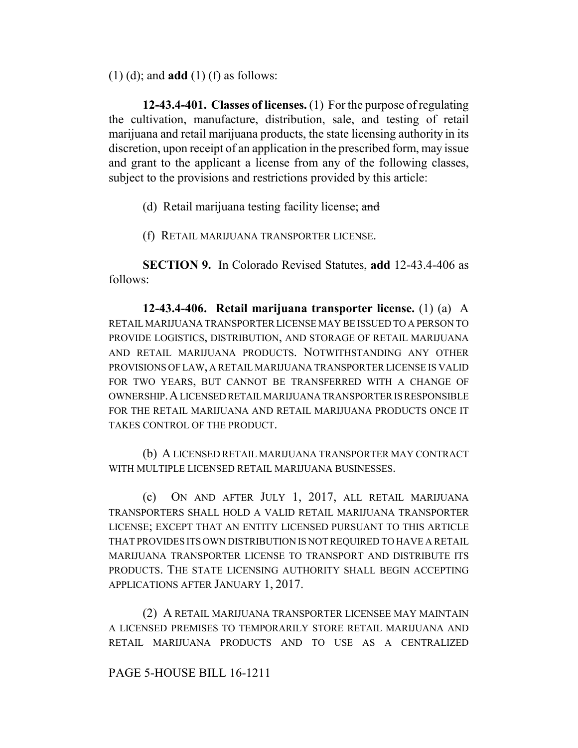(1) (d); and **add** (1) (f) as follows:

**12-43.4-401. Classes of licenses.** (1) For the purpose of regulating the cultivation, manufacture, distribution, sale, and testing of retail marijuana and retail marijuana products, the state licensing authority in its discretion, upon receipt of an application in the prescribed form, may issue and grant to the applicant a license from any of the following classes, subject to the provisions and restrictions provided by this article:

(d) Retail marijuana testing facility license; and

(f) RETAIL MARIJUANA TRANSPORTER LICENSE.

**SECTION 9.** In Colorado Revised Statutes, **add** 12-43.4-406 as follows:

**12-43.4-406. Retail marijuana transporter license.** (1) (a) A RETAIL MARIJUANA TRANSPORTER LICENSE MAY BE ISSUED TO A PERSON TO PROVIDE LOGISTICS, DISTRIBUTION, AND STORAGE OF RETAIL MARIJUANA AND RETAIL MARIJUANA PRODUCTS. NOTWITHSTANDING ANY OTHER PROVISIONS OF LAW, A RETAIL MARIJUANA TRANSPORTER LICENSE IS VALID FOR TWO YEARS, BUT CANNOT BE TRANSFERRED WITH A CHANGE OF OWNERSHIP.A LICENSED RETAIL MARIJUANA TRANSPORTER IS RESPONSIBLE FOR THE RETAIL MARIJUANA AND RETAIL MARIJUANA PRODUCTS ONCE IT TAKES CONTROL OF THE PRODUCT.

(b) A LICENSED RETAIL MARIJUANA TRANSPORTER MAY CONTRACT WITH MULTIPLE LICENSED RETAIL MARIJUANA BUSINESSES.

(c) ON AND AFTER JULY 1, 2017, ALL RETAIL MARIJUANA TRANSPORTERS SHALL HOLD A VALID RETAIL MARIJUANA TRANSPORTER LICENSE; EXCEPT THAT AN ENTITY LICENSED PURSUANT TO THIS ARTICLE THAT PROVIDES ITS OWN DISTRIBUTION IS NOT REQUIRED TO HAVE A RETAIL MARIJUANA TRANSPORTER LICENSE TO TRANSPORT AND DISTRIBUTE ITS PRODUCTS. THE STATE LICENSING AUTHORITY SHALL BEGIN ACCEPTING APPLICATIONS AFTER JANUARY 1, 2017.

(2) A RETAIL MARIJUANA TRANSPORTER LICENSEE MAY MAINTAIN A LICENSED PREMISES TO TEMPORARILY STORE RETAIL MARIJUANA AND RETAIL MARIJUANA PRODUCTS AND TO USE AS A CENTRALIZED

## PAGE 5-HOUSE BILL 16-1211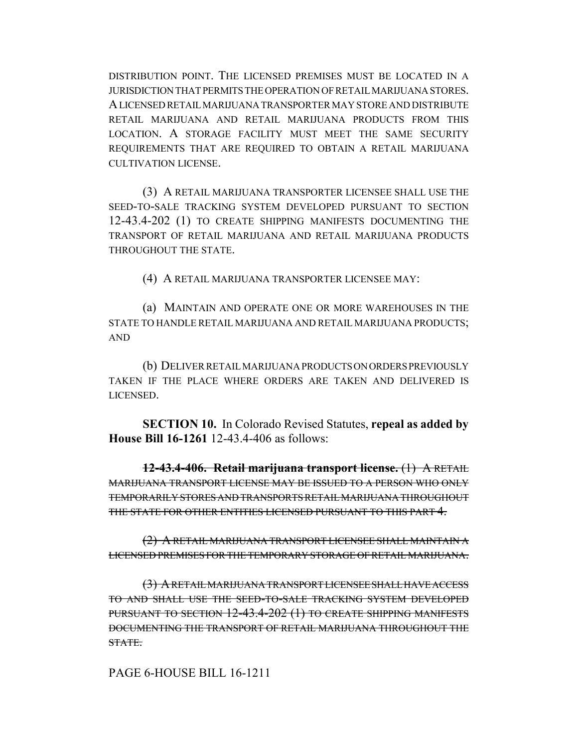DISTRIBUTION POINT. THE LICENSED PREMISES MUST BE LOCATED IN A JURISDICTION THAT PERMITS THE OPERATION OF RETAIL MARIJUANA STORES. A LICENSED RETAIL MARIJUANA TRANSPORTER MAY STORE AND DISTRIBUTE RETAIL MARIJUANA AND RETAIL MARIJUANA PRODUCTS FROM THIS LOCATION. A STORAGE FACILITY MUST MEET THE SAME SECURITY REQUIREMENTS THAT ARE REQUIRED TO OBTAIN A RETAIL MARIJUANA CULTIVATION LICENSE.

(3) A RETAIL MARIJUANA TRANSPORTER LICENSEE SHALL USE THE SEED-TO-SALE TRACKING SYSTEM DEVELOPED PURSUANT TO SECTION 12-43.4-202 (1) TO CREATE SHIPPING MANIFESTS DOCUMENTING THE TRANSPORT OF RETAIL MARIJUANA AND RETAIL MARIJUANA PRODUCTS THROUGHOUT THE STATE.

(4) A RETAIL MARIJUANA TRANSPORTER LICENSEE MAY:

(a) MAINTAIN AND OPERATE ONE OR MORE WAREHOUSES IN THE STATE TO HANDLE RETAIL MARIJUANA AND RETAIL MARIJUANA PRODUCTS; AND

(b) DELIVER RETAIL MARIJUANA PRODUCTS ON ORDERS PREVIOUSLY TAKEN IF THE PLACE WHERE ORDERS ARE TAKEN AND DELIVERED IS LICENSED.

**SECTION 10.** In Colorado Revised Statutes, **repeal as added by House Bill 16-1261** 12-43.4-406 as follows:

**12-43.4-406. Retail marijuana transport license.** (1) A RETAIL MARIJUANA TRANSPORT LICENSE MAY BE ISSUED TO A PERSON WHO ONLY TEMPORARILY STORES AND TRANSPORTS RETAIL MARIJUANA THROUGHOUT THE STATE FOR OTHER ENTITIES LICENSED PURSUANT TO THIS PART 4.

(2) A RETAIL MARIJUANA TRANSPORT LICENSEE SHALL MAINTAIN A LICENSED PREMISES FOR THE TEMPORARY STORAGE OF RETAIL MARIJUANA.

(3) A RETAIL MARIJUANA TRANSPORT LICENSEE SHALL HAVE ACCESS TO AND SHALL USE THE SEED-TO-SALE TRACKING SYSTEM DEVELOPED PURSUANT TO SECTION 12-43.4-202 (1) TO CREATE SHIPPING MANIFESTS DOCUMENTING THE TRANSPORT OF RETAIL MARIJUANA THROUGHOUT THE STATE.

PAGE 6-HOUSE BILL 16-1211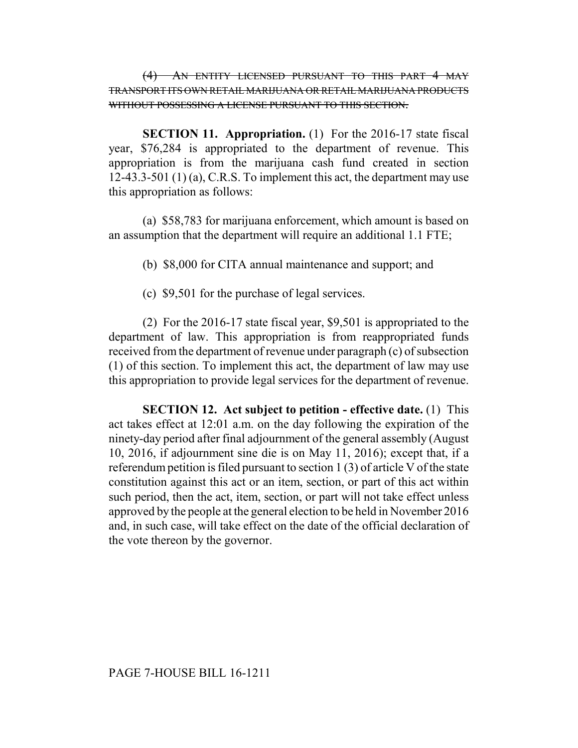(4) AN ENTITY LICENSED PURSUANT TO THIS PART 4 MAY TRANSPORT ITS OWN RETAIL MARIJUANA OR RETAIL MARIJUANA PRODUCTS WITHOUT POSSESSING A LICENSE PURSUANT TO THIS SECTION.

**SECTION 11. Appropriation.** (1) For the 2016-17 state fiscal year, \$76,284 is appropriated to the department of revenue. This appropriation is from the marijuana cash fund created in section 12-43.3-501 (1) (a), C.R.S. To implement this act, the department may use this appropriation as follows:

(a) \$58,783 for marijuana enforcement, which amount is based on an assumption that the department will require an additional 1.1 FTE;

(b) \$8,000 for CITA annual maintenance and support; and

(c) \$9,501 for the purchase of legal services.

(2) For the 2016-17 state fiscal year, \$9,501 is appropriated to the department of law. This appropriation is from reappropriated funds received from the department of revenue under paragraph (c) of subsection (1) of this section. To implement this act, the department of law may use this appropriation to provide legal services for the department of revenue.

**SECTION 12. Act subject to petition - effective date.** (1) This act takes effect at 12:01 a.m. on the day following the expiration of the ninety-day period after final adjournment of the general assembly (August 10, 2016, if adjournment sine die is on May 11, 2016); except that, if a referendum petition is filed pursuant to section 1 (3) of article V of the state constitution against this act or an item, section, or part of this act within such period, then the act, item, section, or part will not take effect unless approved by the people at the general election to be held in November 2016 and, in such case, will take effect on the date of the official declaration of the vote thereon by the governor.